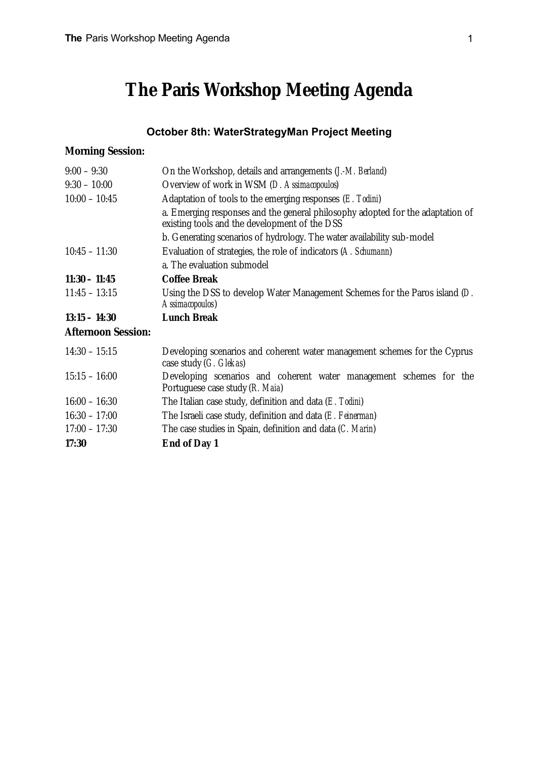# **The Paris Workshop Meeting Agenda**

# **October 8th: WaterStrategyMan Project Meeting**

#### **Morning Session:**

| $9:00 - 9:30$             | On the Workshop, details and arrangements ( <i>J.-M. Berland</i> )                                                              |
|---------------------------|---------------------------------------------------------------------------------------------------------------------------------|
| $9:30 - 10:00$            | Overview of work in WSM (D. Assimacopoulos)                                                                                     |
| $10:00 - 10:45$           | Adaptation of tools to the emerging responses $(E.~Todini)$                                                                     |
|                           | a. Emerging responses and the general philosophy adopted for the adaptation of<br>existing tools and the development of the DSS |
|                           | b. Generating scenarios of hydrology. The water availability sub-model                                                          |
| $10:45 - 11:30$           | Evaluation of strategies, the role of indicators (A. Schumann)                                                                  |
|                           | a. The evaluation submodel                                                                                                      |
| $11:30 - 11:45$           | <b>Coffee Break</b>                                                                                                             |
| $11:45 - 13:15$           | Using the DSS to develop Water Management Schemes for the Paros island (D.<br>Assimacopoulos)                                   |
| $13:15 - 14:30$           | <b>Lunch Break</b>                                                                                                              |
| <b>Afternoon Session:</b> |                                                                                                                                 |
| $14:30 - 15:15$           | Developing scenarios and coherent water management schemes for the Cyprus<br>case study (G. Glekas)                             |
| $15:15 - 16:00$           | Developing scenarios and coherent water management schemes for the<br>Portuguese case study (R. Maia)                           |
| $16:00 - 16:30$           | The Italian case study, definition and data $(E.$ Todini)                                                                       |
| $16:30 - 17:00$           | The Israeli case study, definition and data (E. Feinerman)                                                                      |
| $17:00 - 17:30$           | The case studies in Spain, definition and data (C. Marin)                                                                       |

**17:30 End of Day 1**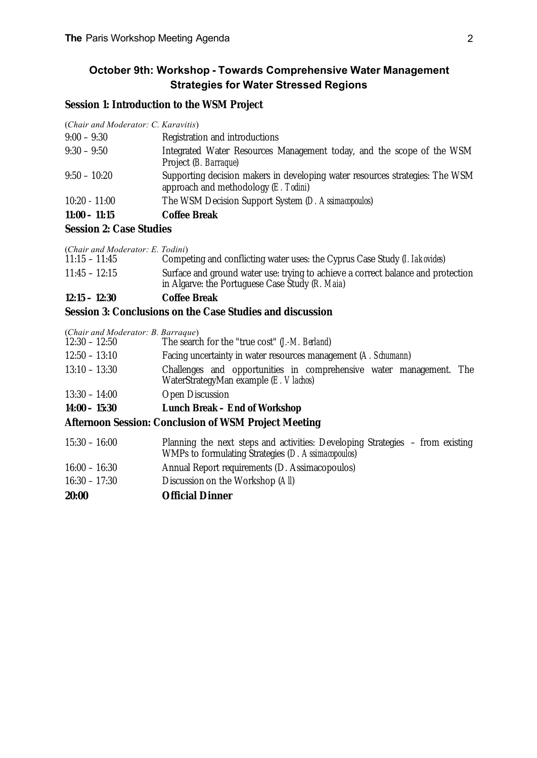# **October 9th: Workshop - Towards Comprehensive Water Management Strategies for Water Stressed Regions**

#### **Session 1: Introduction to the WSM Project**

(*Chair and Moderator: C. Karavitis*)

| $C_{\text{cav}}$ on $C_{\text{cav}}$ $C_{\text{cav}}$ |                                                                                                                               |
|-------------------------------------------------------|-------------------------------------------------------------------------------------------------------------------------------|
| $11:00 - 11:15$                                       | <b>Coffee Break</b>                                                                                                           |
| $10:20 - 11:00$                                       | The WSM Decision Support System (D. Assimacopoulos)                                                                           |
| $9:50 - 10:20$                                        | Supporting decision makers in developing water resources strategies: The WSM<br>approach and methodology $(E. \text{Todini})$ |
| $9:30 - 9:50$                                         | Integrated Water Resources Management today, and the scope of the WSM<br>Project ( <i>B. Barraque</i> )                       |
| $9:00 - 9:30$                                         | Registration and introductions                                                                                                |

#### **Session 2: Case Studies**

| $12:15 - 12:30$                  | <b>Coffee Break</b>                                                                 |
|----------------------------------|-------------------------------------------------------------------------------------|
|                                  | in Algarve: the Portuguese Case Study (R. Maia)                                     |
| $11:45 - 12:15$                  | Surface and ground water use: trying to achieve a correct balance and protection    |
| $11:15 - 11:45$                  | Competing and conflicting water uses: the Cyprus Case Study ( <i>I. Iakovides</i> ) |
| (Chair and Moderator: E. Todini) |                                                                                     |

#### **Session 3: Conclusions on the Case Studies and discussion**

(*Chair and Moderator: B. Barraque*)

| Challenges and opportunities in comprehensive water management. The |
|---------------------------------------------------------------------|
|                                                                     |
|                                                                     |
|                                                                     |

# **Afternoon Session: Conclusion of WSM Project Meeting**

| $15:30 - 16:00$ | Planning the next steps and activities: Developing Strategies – from existing<br>WMPs to formulating Strategies (D. Assimacopoulos) |
|-----------------|-------------------------------------------------------------------------------------------------------------------------------------|
| $16:00 - 16:30$ | Annual Report requirements (D. Assimacopoulos)                                                                                      |
| $16:30 - 17:30$ | Discussion on the Workshop (All)                                                                                                    |
| 20:00           | <b>Official Dinner</b>                                                                                                              |